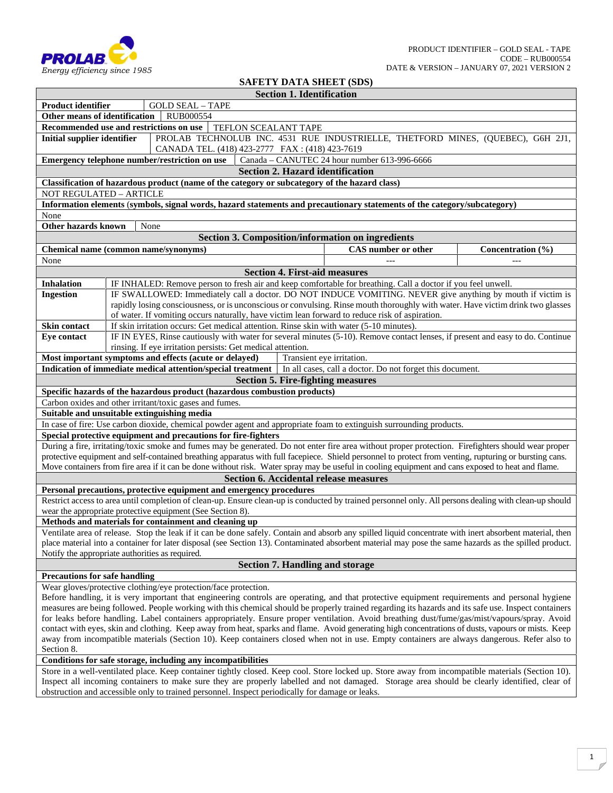

## **SAFETY DATA SHEET (SDS)**

|                                                                                                                                                 |                                                                                                                                              |                                                                                                                                                                                                                                                                                                       | <b>Section 1. Identification</b>     |                                                          |                   |  |  |
|-------------------------------------------------------------------------------------------------------------------------------------------------|----------------------------------------------------------------------------------------------------------------------------------------------|-------------------------------------------------------------------------------------------------------------------------------------------------------------------------------------------------------------------------------------------------------------------------------------------------------|--------------------------------------|----------------------------------------------------------|-------------------|--|--|
| <b>Product identifier</b>                                                                                                                       |                                                                                                                                              | <b>GOLD SEAL - TAPE</b>                                                                                                                                                                                                                                                                               |                                      |                                                          |                   |  |  |
| Other means of identification                                                                                                                   |                                                                                                                                              | RUB000554                                                                                                                                                                                                                                                                                             |                                      |                                                          |                   |  |  |
|                                                                                                                                                 |                                                                                                                                              | Recommended use and restrictions on use<br>TEFLON SCEALANT TAPE                                                                                                                                                                                                                                       |                                      |                                                          |                   |  |  |
| PROLAB TECHNOLUB INC. 4531 RUE INDUSTRIELLE, THETFORD MINES, (QUEBEC), G6H 2J1,<br><b>Initial supplier identifier</b>                           |                                                                                                                                              |                                                                                                                                                                                                                                                                                                       |                                      |                                                          |                   |  |  |
| CANADA TEL. (418) 423-2777 FAX: (418) 423-7619<br>Emergency telephone number/restriction on use<br>Canada - CANUTEC 24 hour number 613-996-6666 |                                                                                                                                              |                                                                                                                                                                                                                                                                                                       |                                      |                                                          |                   |  |  |
|                                                                                                                                                 |                                                                                                                                              |                                                                                                                                                                                                                                                                                                       |                                      | <b>Section 2. Hazard identification</b>                  |                   |  |  |
|                                                                                                                                                 |                                                                                                                                              | Classification of hazardous product (name of the category or subcategory of the hazard class)                                                                                                                                                                                                         |                                      |                                                          |                   |  |  |
| NOT REGULATED - ARTICLE                                                                                                                         |                                                                                                                                              |                                                                                                                                                                                                                                                                                                       |                                      |                                                          |                   |  |  |
|                                                                                                                                                 |                                                                                                                                              | Information elements (symbols, signal words, hazard statements and precautionary statements of the category/subcategory)                                                                                                                                                                              |                                      |                                                          |                   |  |  |
| None                                                                                                                                            |                                                                                                                                              |                                                                                                                                                                                                                                                                                                       |                                      |                                                          |                   |  |  |
| Other hazards known                                                                                                                             |                                                                                                                                              | None                                                                                                                                                                                                                                                                                                  |                                      |                                                          |                   |  |  |
|                                                                                                                                                 |                                                                                                                                              |                                                                                                                                                                                                                                                                                                       |                                      | <b>Section 3. Composition/information on ingredients</b> |                   |  |  |
|                                                                                                                                                 |                                                                                                                                              | Chemical name (common name/synonyms)                                                                                                                                                                                                                                                                  |                                      | <b>CAS</b> number or other                               | Concentration (%) |  |  |
| None                                                                                                                                            |                                                                                                                                              |                                                                                                                                                                                                                                                                                                       |                                      |                                                          |                   |  |  |
|                                                                                                                                                 |                                                                                                                                              |                                                                                                                                                                                                                                                                                                       | <b>Section 4. First-aid measures</b> |                                                          |                   |  |  |
| <b>Inhalation</b>                                                                                                                               | IF INHALED: Remove person to fresh air and keep comfortable for breathing. Call a doctor if you feel unwell.                                 |                                                                                                                                                                                                                                                                                                       |                                      |                                                          |                   |  |  |
| <b>Ingestion</b>                                                                                                                                |                                                                                                                                              | IF SWALLOWED: Immediately call a doctor. DO NOT INDUCE VOMITING. NEVER give anything by mouth if victim is                                                                                                                                                                                            |                                      |                                                          |                   |  |  |
|                                                                                                                                                 |                                                                                                                                              | rapidly losing consciousness, or is unconscious or convulsing. Rinse mouth thoroughly with water. Have victim drink two glasses                                                                                                                                                                       |                                      |                                                          |                   |  |  |
|                                                                                                                                                 |                                                                                                                                              | of water. If vomiting occurs naturally, have victim lean forward to reduce risk of aspiration.                                                                                                                                                                                                        |                                      |                                                          |                   |  |  |
| <b>Skin contact</b>                                                                                                                             |                                                                                                                                              | If skin irritation occurs: Get medical attention. Rinse skin with water (5-10 minutes).                                                                                                                                                                                                               |                                      |                                                          |                   |  |  |
| Eye contact                                                                                                                                     |                                                                                                                                              | IF IN EYES, Rinse cautiously with water for several minutes (5-10). Remove contact lenses, if present and easy to do. Continue                                                                                                                                                                        |                                      |                                                          |                   |  |  |
|                                                                                                                                                 |                                                                                                                                              | rinsing. If eye irritation persists: Get medical attention.                                                                                                                                                                                                                                           |                                      |                                                          |                   |  |  |
|                                                                                                                                                 |                                                                                                                                              | Most important symptoms and effects (acute or delayed)                                                                                                                                                                                                                                                |                                      | Transient eye irritation.                                |                   |  |  |
|                                                                                                                                                 |                                                                                                                                              | Indication of immediate medical attention/special treatment   In all cases, call a doctor. Do not forget this document.                                                                                                                                                                               |                                      |                                                          |                   |  |  |
|                                                                                                                                                 |                                                                                                                                              |                                                                                                                                                                                                                                                                                                       |                                      | <b>Section 5. Fire-fighting measures</b>                 |                   |  |  |
|                                                                                                                                                 |                                                                                                                                              | Specific hazards of the hazardous product (hazardous combustion products)                                                                                                                                                                                                                             |                                      |                                                          |                   |  |  |
|                                                                                                                                                 |                                                                                                                                              | Carbon oxides and other irritant/toxic gases and fumes.                                                                                                                                                                                                                                               |                                      |                                                          |                   |  |  |
|                                                                                                                                                 |                                                                                                                                              | Suitable and unsuitable extinguishing media<br>In case of fire: Use carbon dioxide, chemical powder agent and appropriate foam to extinguish surrounding products.                                                                                                                                    |                                      |                                                          |                   |  |  |
|                                                                                                                                                 |                                                                                                                                              | Special protective equipment and precautions for fire-fighters                                                                                                                                                                                                                                        |                                      |                                                          |                   |  |  |
|                                                                                                                                                 |                                                                                                                                              | During a fire, irritating/toxic smoke and fumes may be generated. Do not enter fire area without proper protection. Firefighters should wear proper                                                                                                                                                   |                                      |                                                          |                   |  |  |
|                                                                                                                                                 |                                                                                                                                              | protective equipment and self-contained breathing apparatus with full facepiece. Shield personnel to protect from venting, rupturing or bursting cans.                                                                                                                                                |                                      |                                                          |                   |  |  |
|                                                                                                                                                 |                                                                                                                                              | Move containers from fire area if it can be done without risk. Water spray may be useful in cooling equipment and cans exposed to heat and flame.                                                                                                                                                     |                                      |                                                          |                   |  |  |
|                                                                                                                                                 |                                                                                                                                              |                                                                                                                                                                                                                                                                                                       |                                      | <b>Section 6. Accidental release measures</b>            |                   |  |  |
|                                                                                                                                                 |                                                                                                                                              | Personal precautions, protective equipment and emergency procedures                                                                                                                                                                                                                                   |                                      |                                                          |                   |  |  |
|                                                                                                                                                 |                                                                                                                                              | Restrict access to area until completion of clean-up. Ensure clean-up is conducted by trained personnel only. All persons dealing with clean-up should                                                                                                                                                |                                      |                                                          |                   |  |  |
|                                                                                                                                                 |                                                                                                                                              | wear the appropriate protective equipment (See Section 8).                                                                                                                                                                                                                                            |                                      |                                                          |                   |  |  |
|                                                                                                                                                 |                                                                                                                                              | Methods and materials for containment and cleaning up                                                                                                                                                                                                                                                 |                                      |                                                          |                   |  |  |
|                                                                                                                                                 |                                                                                                                                              | Ventilate area of release. Stop the leak if it can be done safely. Contain and absorb any spilled liquid concentrate with inert absorbent material, then                                                                                                                                              |                                      |                                                          |                   |  |  |
|                                                                                                                                                 |                                                                                                                                              | place material into a container for later disposal (see Section 13). Contaminated absorbent material may pose the same hazards as the spilled product.                                                                                                                                                |                                      |                                                          |                   |  |  |
| Notify the appropriate authorities as required.                                                                                                 |                                                                                                                                              |                                                                                                                                                                                                                                                                                                       |                                      |                                                          |                   |  |  |
|                                                                                                                                                 |                                                                                                                                              |                                                                                                                                                                                                                                                                                                       |                                      | <b>Section 7. Handling and storage</b>                   |                   |  |  |
| <b>Precautions for safe handling</b>                                                                                                            |                                                                                                                                              |                                                                                                                                                                                                                                                                                                       |                                      |                                                          |                   |  |  |
|                                                                                                                                                 |                                                                                                                                              | Wear gloves/protective clothing/eye protection/face protection.                                                                                                                                                                                                                                       |                                      |                                                          |                   |  |  |
|                                                                                                                                                 |                                                                                                                                              | Before handling, it is very important that engineering controls are operating, and that protective equipment requirements and personal hygiene                                                                                                                                                        |                                      |                                                          |                   |  |  |
|                                                                                                                                                 |                                                                                                                                              | measures are being followed. People working with this chemical should be properly trained regarding its hazards and its safe use. Inspect containers<br>for leaks before handling. Label containers appropriately. Ensure proper ventilation. Avoid breathing dust/fume/gas/mist/vapours/spray. Avoid |                                      |                                                          |                   |  |  |
|                                                                                                                                                 |                                                                                                                                              | contact with eyes, skin and clothing. Keep away from heat, sparks and flame. Avoid generating high concentrations of dusts, vapours or mists. Keep                                                                                                                                                    |                                      |                                                          |                   |  |  |
|                                                                                                                                                 |                                                                                                                                              | away from incompatible materials (Section 10). Keep containers closed when not in use. Empty containers are always dangerous. Refer also to                                                                                                                                                           |                                      |                                                          |                   |  |  |
| Section 8.                                                                                                                                      |                                                                                                                                              |                                                                                                                                                                                                                                                                                                       |                                      |                                                          |                   |  |  |
|                                                                                                                                                 |                                                                                                                                              | Conditions for safe storage, including any incompatibilities                                                                                                                                                                                                                                          |                                      |                                                          |                   |  |  |
|                                                                                                                                                 |                                                                                                                                              | Store in a well-ventilated place. Keep container tightly closed. Keep cool. Store locked up. Store away from incompatible materials (Section 10).                                                                                                                                                     |                                      |                                                          |                   |  |  |
|                                                                                                                                                 | Inspect all incoming containers to make sure they are properly labelled and not damaged. Storage area should be clearly identified, clear of |                                                                                                                                                                                                                                                                                                       |                                      |                                                          |                   |  |  |
|                                                                                                                                                 |                                                                                                                                              | obstruction and accessible only to trained personnel. Inspect periodically for damage or leaks.                                                                                                                                                                                                       |                                      |                                                          |                   |  |  |
|                                                                                                                                                 |                                                                                                                                              |                                                                                                                                                                                                                                                                                                       |                                      |                                                          |                   |  |  |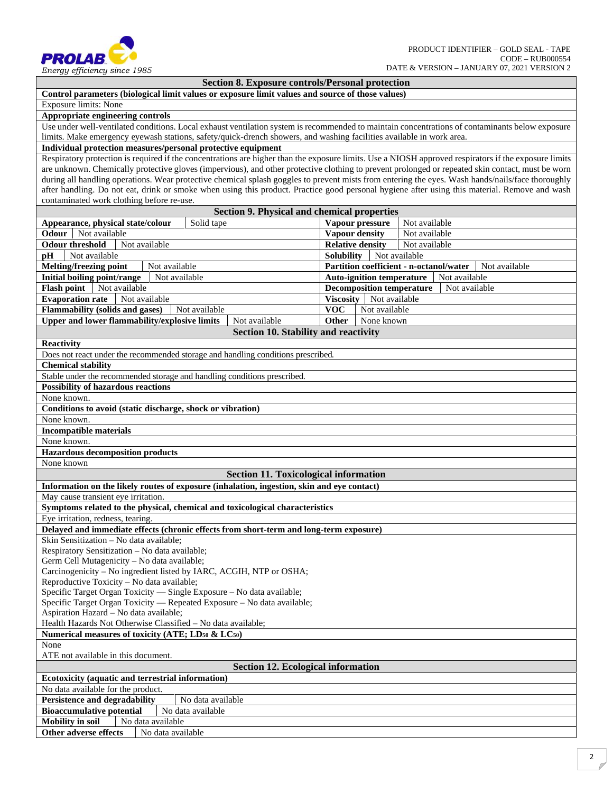

## **Section 8. Exposure controls/Personal protection**

## **Control parameters (biological limit values or exposure limit values and source of those values)**

Exposure limits: None

**Appropriate engineering controls**

Use under well-ventilated conditions. Local exhaust ventilation system is recommended to maintain concentrations of contaminants below exposure limits. Make emergency eyewash stations, safety/quick-drench showers, and washing facilities available in work area.

## **Individual protection measures/personal protective equipment**

Respiratory protection is required if the concentrations are higher than the exposure limits. Use a NIOSH approved respirators if the exposure limits are unknown. Chemically protective gloves (impervious), and other protective clothing to prevent prolonged or repeated skin contact, must be worn during all handling operations. Wear protective chemical splash goggles to prevent mists from entering the eyes. Wash hands/nails/face thoroughly after handling. Do not eat, drink or smoke when using this product. Practice good personal hygiene after using this material. Remove and wash contaminated work clothing before re-use.

| <b>Section 9. Physical and chemical properties</b>                                         |                                                          |  |  |  |  |  |  |
|--------------------------------------------------------------------------------------------|----------------------------------------------------------|--|--|--|--|--|--|
| Solid tape<br>Appearance, physical state/colour                                            | Vapour pressure<br>Not available                         |  |  |  |  |  |  |
| Odour<br>Not available                                                                     | <b>Vapour density</b><br>Not available                   |  |  |  |  |  |  |
| <b>Odour threshold</b><br>Not available                                                    | <b>Relative density</b><br>Not available                 |  |  |  |  |  |  |
| Not available<br>pH                                                                        | <b>Solubility</b><br>Not available                       |  |  |  |  |  |  |
| <b>Melting/freezing point</b><br>Not available                                             | Partition coefficient - n-octanol/water<br>Not available |  |  |  |  |  |  |
| Initial boiling point/range<br>Not available                                               | <b>Auto-ignition temperature</b><br>Not available        |  |  |  |  |  |  |
| Not available<br><b>Flash point</b>                                                        | <b>Decomposition temperature</b><br>Not available        |  |  |  |  |  |  |
| <b>Evaporation rate</b><br>Not available                                                   | Viscosity   Not available                                |  |  |  |  |  |  |
| <b>Flammability (solids and gases)</b><br>Not available                                    | <b>VOC</b><br>Not available                              |  |  |  |  |  |  |
| Upper and lower flammability/explosive limits<br>Not available                             | None known<br><b>Other</b>                               |  |  |  |  |  |  |
| Section 10. Stability and reactivity                                                       |                                                          |  |  |  |  |  |  |
| <b>Reactivity</b>                                                                          |                                                          |  |  |  |  |  |  |
| Does not react under the recommended storage and handling conditions prescribed.           |                                                          |  |  |  |  |  |  |
| <b>Chemical stability</b>                                                                  |                                                          |  |  |  |  |  |  |
| Stable under the recommended storage and handling conditions prescribed.                   |                                                          |  |  |  |  |  |  |
| <b>Possibility of hazardous reactions</b>                                                  |                                                          |  |  |  |  |  |  |
| None known.                                                                                |                                                          |  |  |  |  |  |  |
| Conditions to avoid (static discharge, shock or vibration)                                 |                                                          |  |  |  |  |  |  |
| None known.                                                                                |                                                          |  |  |  |  |  |  |
| <b>Incompatible materials</b>                                                              |                                                          |  |  |  |  |  |  |
| None known.                                                                                |                                                          |  |  |  |  |  |  |
| <b>Hazardous decomposition products</b>                                                    |                                                          |  |  |  |  |  |  |
| None known                                                                                 |                                                          |  |  |  |  |  |  |
| <b>Section 11. Toxicological information</b>                                               |                                                          |  |  |  |  |  |  |
| Information on the likely routes of exposure (inhalation, ingestion, skin and eye contact) |                                                          |  |  |  |  |  |  |
| May cause transient eye irritation.                                                        |                                                          |  |  |  |  |  |  |
| Symptoms related to the physical, chemical and toxicological characteristics               |                                                          |  |  |  |  |  |  |
| Eye irritation, redness, tearing.                                                          |                                                          |  |  |  |  |  |  |
| Delayed and immediate effects (chronic effects from short-term and long-term exposure)     |                                                          |  |  |  |  |  |  |
| Skin Sensitization - No data available;                                                    |                                                          |  |  |  |  |  |  |
| Respiratory Sensitization - No data available;                                             |                                                          |  |  |  |  |  |  |
| Germ Cell Mutagenicity - No data available;                                                |                                                          |  |  |  |  |  |  |
| Carcinogenicity - No ingredient listed by IARC, ACGIH, NTP or OSHA;                        |                                                          |  |  |  |  |  |  |
| Reproductive Toxicity - No data available;                                                 |                                                          |  |  |  |  |  |  |
| Specific Target Organ Toxicity - Single Exposure - No data available;                      |                                                          |  |  |  |  |  |  |
| Specific Target Organ Toxicity — Repeated Exposure - No data available;                    |                                                          |  |  |  |  |  |  |
| Aspiration Hazard - No data available;                                                     |                                                          |  |  |  |  |  |  |
| Health Hazards Not Otherwise Classified - No data available;                               |                                                          |  |  |  |  |  |  |
| Numerical measures of toxicity (ATE; LD <sub>50</sub> & LC <sub>50</sub> )                 |                                                          |  |  |  |  |  |  |
| None                                                                                       |                                                          |  |  |  |  |  |  |
| ATE not available in this document.                                                        |                                                          |  |  |  |  |  |  |
| <b>Section 12. Ecological information</b>                                                  |                                                          |  |  |  |  |  |  |
| Ecotoxicity (aquatic and terrestrial information)                                          |                                                          |  |  |  |  |  |  |
| No data available for the product.                                                         |                                                          |  |  |  |  |  |  |
| <b>Persistence and degradability</b><br>No data available                                  |                                                          |  |  |  |  |  |  |
| <b>Bioaccumulative potential</b><br>No data available                                      |                                                          |  |  |  |  |  |  |
| <b>Mobility</b> in soil<br>No data available                                               |                                                          |  |  |  |  |  |  |
| Other adverse effects<br>No data available                                                 |                                                          |  |  |  |  |  |  |